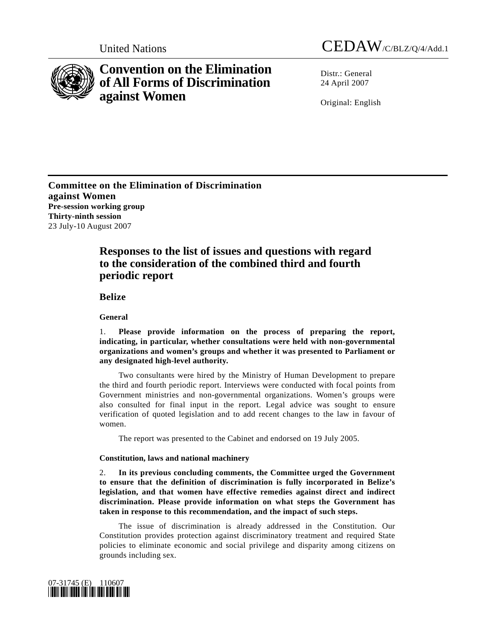



# **Convention on the Elimination of All Forms of Discrimination against Women**

 $Distr: General$ 24 April 2007

Original: English

**Committee on the Elimination of Discrimination against Women Pre-session working group Thirty-ninth session**  23 July-10 August 2007

## **Responses to the list of issues and questions with regard to the consideration of the combined third and fourth periodic report**

 **Belize**

 **General** 

1. **Please provide information on the process of preparing the report, indicating, in particular, whether consultations were held with non-governmental organizations and women's groups and whether it was presented to Parliament or any designated high-level authority.** 

 Two consultants were hired by the Ministry of Human Development to prepare the third and fourth periodic report. Interviews were conducted with focal points from Government ministries and non-governmental organizations. Women's groups were also consulted for final input in the report. Legal advice was sought to ensure verification of quoted legislation and to add recent changes to the law in favour of women.

The report was presented to the Cabinet and endorsed on 19 July 2005.

## **Constitution, laws and national machinery**

2. **In its previous concluding comments, the Committee urged the Government to ensure that the definition of discrimination is fully incorporated in Belize's legislation, and that women have effective remedies against direct and indirect discrimination. Please provide information on what steps the Government has taken in response to this recommendation, and the impact of such steps.** 

 The issue of discrimination is already addressed in the Constitution. Our Constitution provides protection against discriminatory treatment and required State policies to eliminate economic and social privilege and disparity among citizens on grounds including sex.

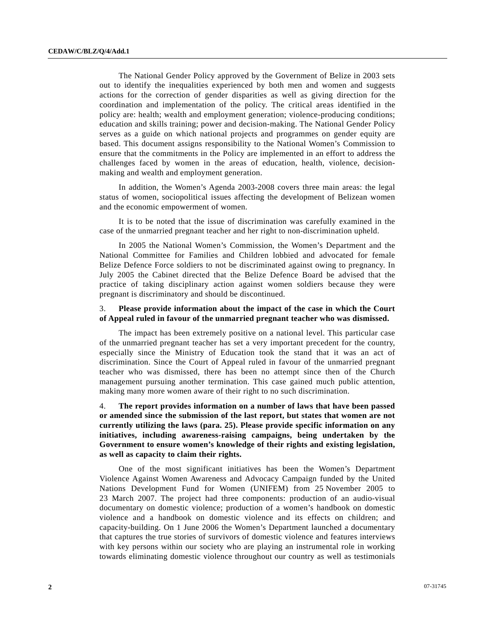The National Gender Policy approved by the Government of Belize in 2003 sets out to identify the inequalities experienced by both men and women and suggests actions for the correction of gender disparities as well as giving direction for the coordination and implementation of the policy. The critical areas identified in the policy are: health; wealth and employment generation; violence-producing conditions; education and skills training; power and decision-making. The National Gender Policy serves as a guide on which national projects and programmes on gender equity are based. This document assigns responsibility to the National Women's Commission to ensure that the commitments in the Policy are implemented in an effort to address the challenges faced by women in the areas of education, health, violence, decisionmaking and wealth and employment generation.

 In addition, the Women's Agenda 2003-2008 covers three main areas: the legal status of women, sociopolitical issues affecting the development of Belizean women and the economic empowerment of women.

 It is to be noted that the issue of discrimination was carefully examined in the case of the unmarried pregnant teacher and her right to non-discrimination upheld.

 In 2005 the National Women's Commission, the Women's Department and the National Committee for Families and Children lobbied and advocated for female Belize Defence Force soldiers to not be discriminated against owing to pregnancy. In July 2005 the Cabinet directed that the Belize Defence Board be advised that the practice of taking disciplinary action against women soldiers because they were pregnant is discriminatory and should be discontinued.

### 3. **Please provide information about the impact of the case in which the Court of Appeal ruled in favour of the unmarried pregnant teacher who was dismissed.**

 The impact has been extremely positive on a national level. This particular case of the unmarried pregnant teacher has set a very important precedent for the country, especially since the Ministry of Education took the stand that it was an act of discrimination. Since the Court of Appeal ruled in favour of the unmarried pregnant teacher who was dismissed, there has been no attempt since then of the Church management pursuing another termination. This case gained much public attention, making many more women aware of their right to no such discrimination.

## 4. **The report provides information on a number of laws that have been passed or amended since the submission of the last report, but states that women are not currently utilizing the laws (para. 25). Please provide specific information on any initiatives, including awareness-raising campaigns, being undertaken by the Government to ensure women's knowledge of their rights and existing legislation, as well as capacity to claim their rights.**

 One of the most significant initiatives has been the Women's Department Violence Against Women Awareness and Advocacy Campaign funded by the United Nations Development Fund for Women (UNIFEM) from 25 November 2005 to 23 March 2007. The project had three components: production of an audio-visual documentary on domestic violence; production of a women's handbook on domestic violence and a handbook on domestic violence and its effects on children; and capacity-building. On 1 June 2006 the Women's Department launched a documentary that captures the true stories of survivors of domestic violence and features interviews with key persons within our society who are playing an instrumental role in working towards eliminating domestic violence throughout our country as well as testimonials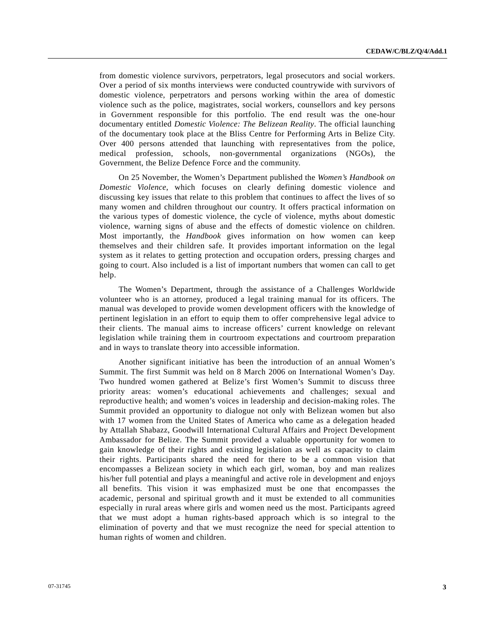from domestic violence survivors, perpetrators, legal prosecutors and social workers. Over a period of six months interviews were conducted countrywide with survivors of domestic violence, perpetrators and persons working within the area of domestic violence such as the police, magistrates, social workers, counsellors and key persons in Government responsible for this portfolio. The end result was the one-hour documentary entitled *Domestic Violence: The Belizean Reality*. The official launching of the documentary took place at the Bliss Centre for Performing Arts in Belize City. Over 400 persons attended that launching with representatives from the police, medical profession, schools, non-governmental organizations (NGOs), the Government, the Belize Defence Force and the community.

 On 25 November, the Women's Department published the *Women's Handbook on Domestic Violence*, which focuses on clearly defining domestic violence and discussing key issues that relate to this problem that continues to affect the lives of so many women and children throughout our country. It offers practical information on the various types of domestic violence, the cycle of violence, myths about domestic violence, warning signs of abuse and the effects of domestic violence on children. Most importantly, the *Handbook* gives information on how women can keep themselves and their children safe. It provides important information on the legal system as it relates to getting protection and occupation orders, pressing charges and going to court. Also included is a list of important numbers that women can call to get help.

 The Women's Department, through the assistance of a Challenges Worldwide volunteer who is an attorney, produced a legal training manual for its officers. The manual was developed to provide women development officers with the knowledge of pertinent legislation in an effort to equip them to offer comprehensive legal advice to their clients. The manual aims to increase officers' current knowledge on relevant legislation while training them in courtroom expectations and courtroom preparation and in ways to translate theory into accessible information.

 Another significant initiative has been the introduction of an annual Women's Summit. The first Summit was held on 8 March 2006 on International Women's Day. Two hundred women gathered at Belize's first Women's Summit to discuss three priority areas: women's educational achievements and challenges; sexual and reproductive health; and women's voices in leadership and decision-making roles. The Summit provided an opportunity to dialogue not only with Belizean women but also with 17 women from the United States of America who came as a delegation headed by Attallah Shabazz, Goodwill International Cultural Affairs and Project Development Ambassador for Belize. The Summit provided a valuable opportunity for women to gain knowledge of their rights and existing legislation as well as capacity to claim their rights. Participants shared the need for there to be a common vision that encompasses a Belizean society in which each girl, woman, boy and man realizes his/her full potential and plays a meaningful and active role in development and enjoys all benefits. This vision it was emphasized must be one that encompasses the academic, personal and spiritual growth and it must be extended to all communities especially in rural areas where girls and women need us the most. Participants agreed that we must adopt a human rights-based approach which is so integral to the elimination of poverty and that we must recognize the need for special attention to human rights of women and children.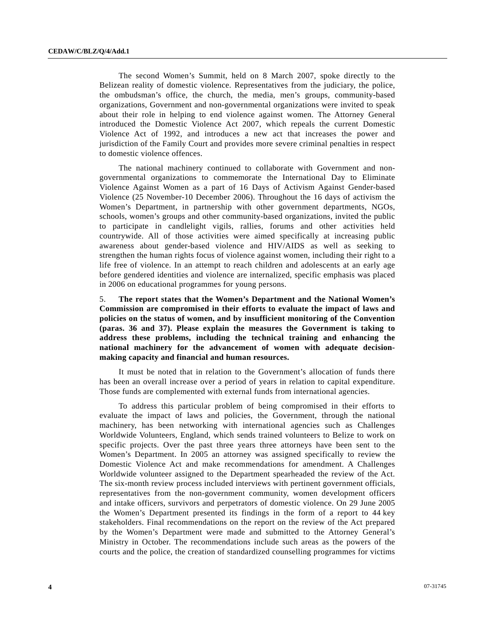The second Women's Summit, held on 8 March 2007, spoke directly to the Belizean reality of domestic violence. Representatives from the judiciary, the police, the ombudsman's office, the church, the media, men's groups, community-based organizations, Government and non-governmental organizations were invited to speak about their role in helping to end violence against women. The Attorney General introduced the Domestic Violence Act 2007, which repeals the current Domestic Violence Act of 1992, and introduces a new act that increases the power and jurisdiction of the Family Court and provides more severe criminal penalties in respect to domestic violence offences.

 The national machinery continued to collaborate with Government and nongovernmental organizations to commemorate the International Day to Eliminate Violence Against Women as a part of 16 Days of Activism Against Gender-based Violence (25 November-10 December 2006). Throughout the 16 days of activism the Women's Department, in partnership with other government departments, NGOs, schools, women's groups and other community-based organizations, invited the public to participate in candlelight vigils, rallies, forums and other activities held countrywide. All of those activities were aimed specifically at increasing public awareness about gender-based violence and HIV/AIDS as well as seeking to strengthen the human rights focus of violence against women, including their right to a life free of violence. In an attempt to reach children and adolescents at an early age before gendered identities and violence are internalized, specific emphasis was placed in 2006 on educational programmes for young persons.

5. **The report states that the Women's Department and the National Women's Commission are compromised in their efforts to evaluate the impact of laws and policies on the status of women, and by insufficient monitoring of the Convention (paras. 36 and 37). Please explain the measures the Government is taking to address these problems, including the technical training and enhancing the national machinery for the advancement of women with adequate decisionmaking capacity and financial and human resources.** 

 It must be noted that in relation to the Government's allocation of funds there has been an overall increase over a period of years in relation to capital expenditure. Those funds are complemented with external funds from international agencies.

 To address this particular problem of being compromised in their efforts to evaluate the impact of laws and policies, the Government, through the national machinery, has been networking with international agencies such as Challenges Worldwide Volunteers, England, which sends trained volunteers to Belize to work on specific projects. Over the past three years three attorneys have been sent to the Women's Department. In 2005 an attorney was assigned specifically to review the Domestic Violence Act and make recommendations for amendment. A Challenges Worldwide volunteer assigned to the Department spearheaded the review of the Act. The six-month review process included interviews with pertinent government officials, representatives from the non-government community, women development officers and intake officers, survivors and perpetrators of domestic violence. On 29 June 2005 the Women's Department presented its findings in the form of a report to 44 key stakeholders. Final recommendations on the report on the review of the Act prepared by the Women's Department were made and submitted to the Attorney General's Ministry in October. The recommendations include such areas as the powers of the courts and the police, the creation of standardized counselling programmes for victims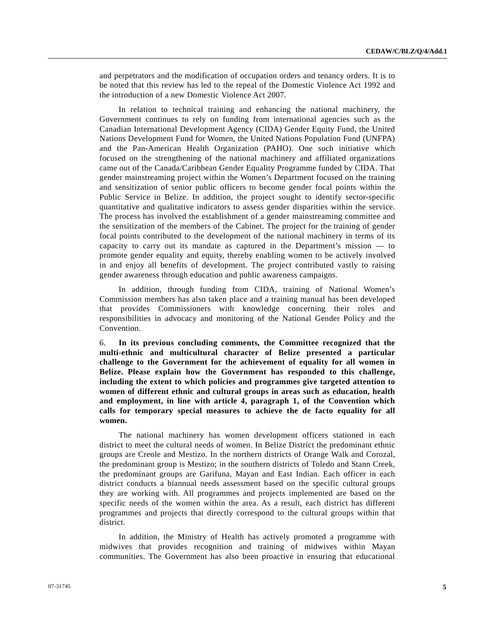and perpetrators and the modification of occupation orders and tenancy orders. It is to be noted that this review has led to the repeal of the Domestic Violence Act 1992 and the introduction of a new Domestic Violence Act 2007.

 In relation to technical training and enhancing the national machinery, the Government continues to rely on funding from international agencies such as the Canadian International Development Agency (CIDA) Gender Equity Fund, the United Nations Development Fund for Women, the United Nations Population Fund (UNFPA) and the Pan-American Health Organization (PAHO). One such initiative which focused on the strengthening of the national machinery and affiliated organizations came out of the Canada/Caribbean Gender Equality Programme funded by CIDA. That gender mainstreaming project within the Women's Department focused on the training and sensitization of senior public officers to become gender focal points within the Public Service in Belize. In addition, the project sought to identify sector-specific quantitative and qualitative indicators to assess gender disparities within the service. The process has involved the establishment of a gender mainstreaming committee and the sensitization of the members of the Cabinet. The project for the training of gender focal points contributed to the development of the national machinery in terms of its capacity to carry out its mandate as captured in the Department's mission — to promote gender equality and equity, thereby enabling women to be actively involved in and enjoy all benefits of development. The project contributed vastly to raising gender awareness through education and public awareness campaigns.

 In addition, through funding from CIDA, training of National Women's Commission members has also taken place and a training manual has been developed that provides Commissioners with knowledge concerning their roles and responsibilities in advocacy and monitoring of the National Gender Policy and the Convention.

6. **In its previous concluding comments, the Committee recognized that the multi-ethnic and multicultural character of Belize presented a particular challenge to the Government for the achievement of equality for all women in Belize. Please explain how the Government has responded to this challenge, including the extent to which policies and programmes give targeted attention to women of different ethnic and cultural groups in areas such as education, health and employment, in line with article 4, paragraph 1, of the Convention which calls for temporary special measures to achieve the de facto equality for all women.** 

 The national machinery has women development officers stationed in each district to meet the cultural needs of women. In Belize District the predominant ethnic groups are Creole and Mestizo. In the northern districts of Orange Walk and Corozal, the predominant group is Mestizo; in the southern districts of Toledo and Stann Creek, the predominant groups are Garifuna, Mayan and East Indian. Each officer in each district conducts a biannual needs assessment based on the specific cultural groups they are working with. All programmes and projects implemented are based on the specific needs of the women within the area. As a result, each district has different programmes and projects that directly correspond to the cultural groups within that district.

 In addition, the Ministry of Health has actively promoted a programme with midwives that provides recognition and training of midwives within Mayan communities. The Government has also been proactive in ensuring that educational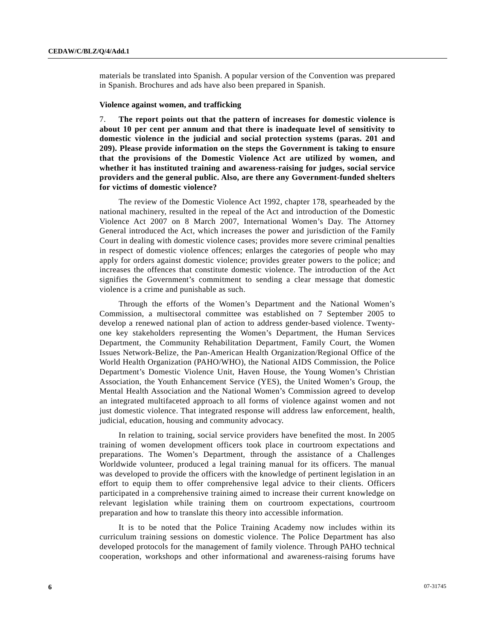materials be translated into Spanish. A popular version of the Convention was prepared in Spanish. Brochures and ads have also been prepared in Spanish.

#### **Violence against women, and trafficking**

7. **The report points out that the pattern of increases for domestic violence is about 10 per cent per annum and that there is inadequate level of sensitivity to domestic violence in the judicial and social protection systems (paras. 201 and 209). Please provide information on the steps the Government is taking to ensure that the provisions of the Domestic Violence Act are utilized by women, and whether it has instituted training and awareness-raising for judges, social service providers and the general public. Also, are there any Government-funded shelters for victims of domestic violence?** 

 The review of the Domestic Violence Act 1992, chapter 178, spearheaded by the national machinery, resulted in the repeal of the Act and introduction of the Domestic Violence Act 2007 on 8 March 2007, International Women's Day. The Attorney General introduced the Act, which increases the power and jurisdiction of the Family Court in dealing with domestic violence cases; provides more severe criminal penalties in respect of domestic violence offences; enlarges the categories of people who may apply for orders against domestic violence; provides greater powers to the police; and increases the offences that constitute domestic violence. The introduction of the Act signifies the Government's commitment to sending a clear message that domestic violence is a crime and punishable as such.

 Through the efforts of the Women's Department and the National Women's Commission, a multisectoral committee was established on 7 September 2005 to develop a renewed national plan of action to address gender-based violence. Twentyone key stakeholders representing the Women's Department, the Human Services Department, the Community Rehabilitation Department, Family Court, the Women Issues Network-Belize, the Pan-American Health Organization/Regional Office of the World Health Organization (PAHO/WHO), the National AIDS Commission, the Police Department's Domestic Violence Unit, Haven House, the Young Women's Christian Association, the Youth Enhancement Service (YES), the United Women's Group, the Mental Health Association and the National Women's Commission agreed to develop an integrated multifaceted approach to all forms of violence against women and not just domestic violence. That integrated response will address law enforcement, health, judicial, education, housing and community advocacy.

 In relation to training, social service providers have benefited the most. In 2005 training of women development officers took place in courtroom expectations and preparations. The Women's Department, through the assistance of a Challenges Worldwide volunteer, produced a legal training manual for its officers. The manual was developed to provide the officers with the knowledge of pertinent legislation in an effort to equip them to offer comprehensive legal advice to their clients. Officers participated in a comprehensive training aimed to increase their current knowledge on relevant legislation while training them on courtroom expectations, courtroom preparation and how to translate this theory into accessible information.

 It is to be noted that the Police Training Academy now includes within its curriculum training sessions on domestic violence. The Police Department has also developed protocols for the management of family violence. Through PAHO technical cooperation, workshops and other informational and awareness-raising forums have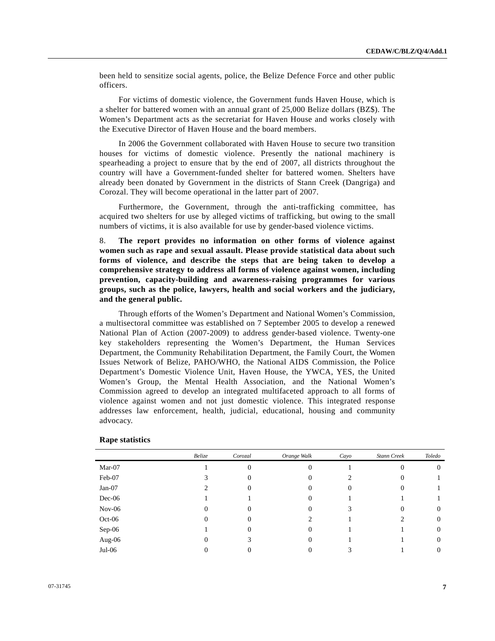been held to sensitize social agents, police, the Belize Defence Force and other public officers.

 For victims of domestic violence, the Government funds Haven House, which is a shelter for battered women with an annual grant of 25,000 Belize dollars (BZ\$). The Women's Department acts as the secretariat for Haven House and works closely with the Executive Director of Haven House and the board members.

 In 2006 the Government collaborated with Haven House to secure two transition houses for victims of domestic violence. Presently the national machinery is spearheading a project to ensure that by the end of 2007, all districts throughout the country will have a Government-funded shelter for battered women. Shelters have already been donated by Government in the districts of Stann Creek (Dangriga) and Corozal. They will become operational in the latter part of 2007.

 Furthermore, the Government, through the anti-trafficking committee, has acquired two shelters for use by alleged victims of trafficking, but owing to the small numbers of victims, it is also available for use by gender-based violence victims.

8. **The report provides no information on other forms of violence against women such as rape and sexual assault. Please provide statistical data about such forms of violence, and describe the steps that are being taken to develop a comprehensive strategy to address all forms of violence against women, including prevention, capacity-building and awareness-raising programmes for various groups, such as the police, lawyers, health and social workers and the judiciary, and the general public.** 

 Through efforts of the Women's Department and National Women's Commission, a multisectoral committee was established on 7 September 2005 to develop a renewed National Plan of Action (2007-2009) to address gender-based violence. Twenty-one key stakeholders representing the Women's Department, the Human Services Department, the Community Rehabilitation Department, the Family Court, the Women Issues Network of Belize, PAHO/WHO, the National AIDS Commission, the Police Department's Domestic Violence Unit, Haven House, the YWCA, YES, the United Women's Group, the Mental Health Association, and the National Women's Commission agreed to develop an integrated multifaceted approach to all forms of violence against women and not just domestic violence. This integrated response addresses law enforcement, health, judicial, educational, housing and community advocacy.

|          | Belize | Corozal  | Orange Walk | Cayo   | Stann Creek | Toledo   |
|----------|--------|----------|-------------|--------|-------------|----------|
| Mar-07   |        | O        |             |        |             | O        |
| Feb-07   |        | $\theta$ | 0           |        | U           |          |
| $Jan-07$ |        |          | 0           | $_{0}$ |             |          |
| $Dec-06$ |        |          |             |        |             |          |
| $Nov-06$ |        | 0        | 0           |        | U           | $\theta$ |
| $Oct-06$ |        |          | ∍           |        |             | 0        |
| Sep-06   |        | O        | 0           |        |             | $\theta$ |
| Aug-06   |        |          | 0           |        |             | $\theta$ |
| $Jul-06$ |        |          |             |        |             |          |

#### **Rape statistics**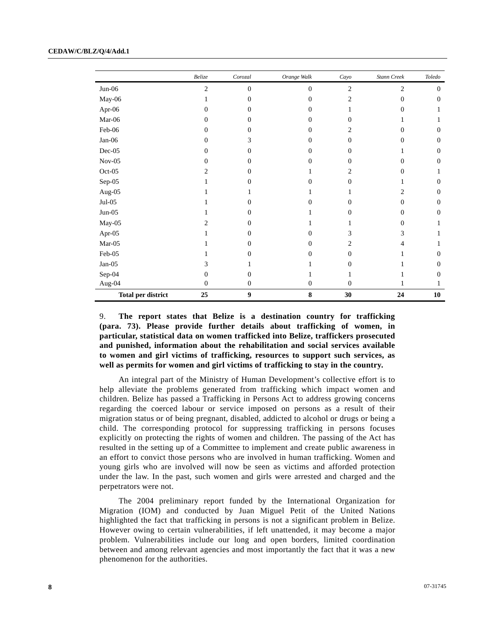|                           | $\it{Belize}$  | Corozal          | Orange Walk    | Cayo             | Stann Creek    | Toledo       |
|---------------------------|----------------|------------------|----------------|------------------|----------------|--------------|
| $Jun-06$                  | $\overline{2}$ | $\theta$         | $\overline{0}$ | $\sqrt{2}$       | $\overline{2}$ | $\mathbf{0}$ |
| May-06                    |                | $\Omega$         | $\Omega$       | $\overline{c}$   | $\mathbf{0}$   | $\theta$     |
| Apr-06                    | $\Omega$       | 0                | $\Omega$       |                  | $\Omega$       |              |
| Mar-06                    | $\Omega$       | $\Omega$         | $\Omega$       | $\theta$         |                |              |
| $Feb-06$                  | $\Omega$       | 0                | $\Omega$       | 2                | $\Omega$       | $\theta$     |
| Jan-06                    | 0              | 3                | $\Omega$       | 0                | $\Omega$       | $\theta$     |
| $Dec-05$                  | $\Omega$       | $\Omega$         | $\Omega$       | $\theta$         |                | $\theta$     |
| $Nov-05$                  | $\Omega$       | 0                | $\Omega$       | $\Omega$         | $\Omega$       | $\Omega$     |
| $Oct-05$                  | $\overline{c}$ | $\Omega$         |                | 2                | $\Omega$       |              |
| $Sep-05$                  | 1              | $\Omega$         | $\Omega$       | $\mathbf{0}$     | 1              | $\theta$     |
| Aug-05                    |                |                  |                |                  | 2              | $\Omega$     |
| $Jul-05$                  |                | $\Omega$         | $\Omega$       | $\Omega$         | $\Omega$       | $\theta$     |
| $Jun-05$                  |                | 0                |                | 0                | $\Omega$       | $\Omega$     |
| $May-05$                  | 2              | 0                |                |                  | $\Omega$       |              |
| Apr-05                    |                | $\Omega$         | $\Omega$       | 3                | 3              |              |
| Mar-05                    |                | $\Omega$         | $\Omega$       | 2                | 4              |              |
| Feb-05                    |                | 0                | $\Omega$       | 0                |                | $\Omega$     |
| $Jan-05$                  | 3              |                  |                | 0                |                | $\Omega$     |
| $Sep-04$                  | 0              | $\Omega$         |                |                  |                | $\theta$     |
| Aug-04 $\,$               | $\Omega$       | $\Omega$         | $\mathbf{0}$   | $\boldsymbol{0}$ |                |              |
| <b>Total per district</b> | 25             | $\boldsymbol{9}$ | ${\bf 8}$      | 30               | 24             | 10           |

9. **The report states that Belize is a destination country for trafficking (para. 73). Please provide further details about trafficking of women, in particular, statistical data on women trafficked into Belize, traffickers prosecuted and punished, information about the rehabilitation and social services available to women and girl victims of trafficking, resources to support such services, as well as permits for women and girl victims of trafficking to stay in the country.** 

 An integral part of the Ministry of Human Development's collective effort is to help alleviate the problems generated from trafficking which impact women and children. Belize has passed a Trafficking in Persons Act to address growing concerns regarding the coerced labour or service imposed on persons as a result of their migration status or of being pregnant, disabled, addicted to alcohol or drugs or being a child. The corresponding protocol for suppressing trafficking in persons focuses explicitly on protecting the rights of women and children. The passing of the Act has resulted in the setting up of a Committee to implement and create public awareness in an effort to convict those persons who are involved in human trafficking. Women and young girls who are involved will now be seen as victims and afforded protection under the law. In the past, such women and girls were arrested and charged and the perpetrators were not.

 The 2004 preliminary report funded by the International Organization for Migration (IOM) and conducted by Juan Miguel Petit of the United Nations highlighted the fact that trafficking in persons is not a significant problem in Belize. However owing to certain vulnerabilities, if left unattended, it may become a major problem. Vulnerabilities include our long and open borders, limited coordination between and among relevant agencies and most importantly the fact that it was a new phenomenon for the authorities.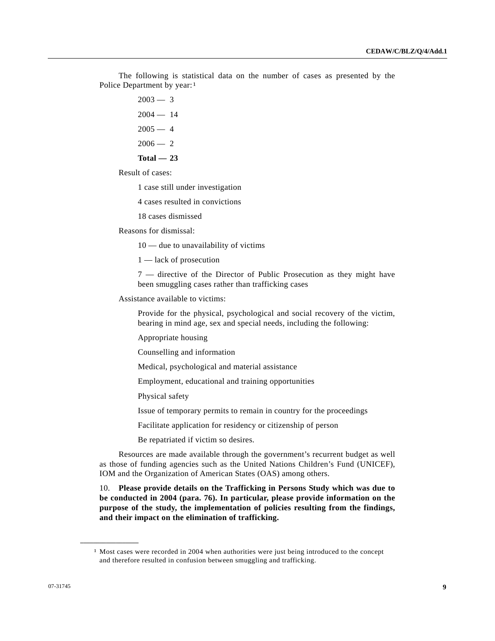The following is statistical data on the number of cases as presented by the Police Department by year:<sup>[1](#page-8-0)</sup>

- $2003 3$  $2004 - 14$
- $2005 4$
- $2006 2$
- **Total 23**

Result of cases:

1 case still under investigation

4 cases resulted in convictions

18 cases dismissed

Reasons for dismissal:

10 — due to unavailability of victims

1 — lack of prosecution

7 — directive of the Director of Public Prosecution as they might have been smuggling cases rather than trafficking cases

Assistance available to victims:

Provide for the physical, psychological and social recovery of the victim, bearing in mind age, sex and special needs, including the following:

Appropriate housing

Counselling and information

Medical, psychological and material assistance

Employment, educational and training opportunities

Physical safety

Issue of temporary permits to remain in country for the proceedings

Facilitate application for residency or citizenship of person

Be repatriated if victim so desires.

 Resources are made available through the government's recurrent budget as well as those of funding agencies such as the United Nations Children's Fund (UNICEF), IOM and the Organization of American States (OAS) among others.

10. **Please provide details on the Trafficking in Persons Study which was due to be conducted in 2004 (para. 76). In particular, please provide information on the purpose of the study, the implementation of policies resulting from the findings, and their impact on the elimination of trafficking.** 

<span id="page-8-0"></span>**\_\_\_\_\_\_\_\_\_\_\_\_\_\_\_\_\_\_** 

<sup>&</sup>lt;sup>1</sup> Most cases were recorded in 2004 when authorities were just being introduced to the concept and therefore resulted in confusion between smuggling and trafficking.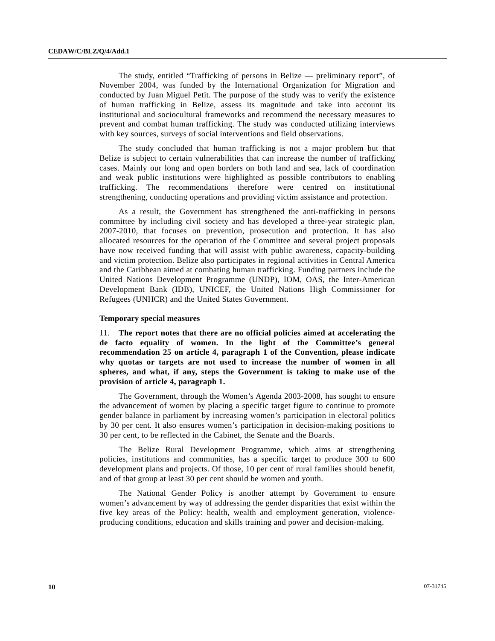The study, entitled "Trafficking of persons in Belize — preliminary report", of November 2004, was funded by the International Organization for Migration and conducted by Juan Miguel Petit. The purpose of the study was to verify the existence of human trafficking in Belize, assess its magnitude and take into account its institutional and sociocultural frameworks and recommend the necessary measures to prevent and combat human trafficking. The study was conducted utilizing interviews with key sources, surveys of social interventions and field observations.

 The study concluded that human trafficking is not a major problem but that Belize is subject to certain vulnerabilities that can increase the number of trafficking cases. Mainly our long and open borders on both land and sea, lack of coordination and weak public institutions were highlighted as possible contributors to enabling trafficking. The recommendations therefore were centred on institutional strengthening, conducting operations and providing victim assistance and protection.

 As a result, the Government has strengthened the anti-trafficking in persons committee by including civil society and has developed a three-year strategic plan, 2007-2010, that focuses on prevention, prosecution and protection. It has also allocated resources for the operation of the Committee and several project proposals have now received funding that will assist with public awareness, capacity-building and victim protection. Belize also participates in regional activities in Central America and the Caribbean aimed at combating human trafficking. Funding partners include the United Nations Development Programme (UNDP), IOM, OAS, the Inter-American Development Bank (IDB), UNICEF, the United Nations High Commissioner for Refugees (UNHCR) and the United States Government.

#### **Temporary special measures**

11. **The report notes that there are no official policies aimed at accelerating the de facto equality of women. In the light of the Committee's general recommendation 25 on article 4, paragraph 1 of the Convention, please indicate why quotas or targets are not used to increase the number of women in all spheres, and what, if any, steps the Government is taking to make use of the provision of article 4, paragraph 1.** 

 The Government, through the Women's Agenda 2003-2008, has sought to ensure the advancement of women by placing a specific target figure to continue to promote gender balance in parliament by increasing women's participation in electoral politics by 30 per cent. It also ensures women's participation in decision-making positions to 30 per cent, to be reflected in the Cabinet, the Senate and the Boards.

 The Belize Rural Development Programme, which aims at strengthening policies, institutions and communities, has a specific target to produce 300 to 600 development plans and projects. Of those, 10 per cent of rural families should benefit, and of that group at least 30 per cent should be women and youth.

 The National Gender Policy is another attempt by Government to ensure women's advancement by way of addressing the gender disparities that exist within the five key areas of the Policy: health, wealth and employment generation, violenceproducing conditions, education and skills training and power and decision-making.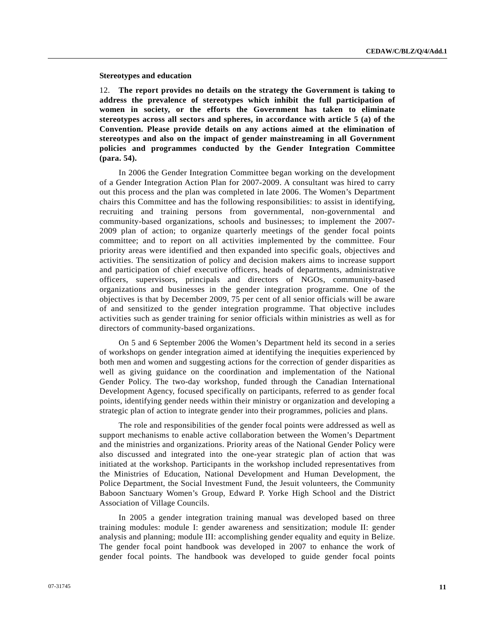#### **Stereotypes and education**

12. **The report provides no details on the strategy the Government is taking to address the prevalence of stereotypes which inhibit the full participation of women in society, or the efforts the Government has taken to eliminate stereotypes across all sectors and spheres, in accordance with article 5 (a) of the Convention. Please provide details on any actions aimed at the elimination of stereotypes and also on the impact of gender mainstreaming in all Government policies and programmes conducted by the Gender Integration Committee (para. 54).** 

 In 2006 the Gender Integration Committee began working on the development of a Gender Integration Action Plan for 2007-2009. A consultant was hired to carry out this process and the plan was completed in late 2006. The Women's Department chairs this Committee and has the following responsibilities: to assist in identifying, recruiting and training persons from governmental, non-governmental and community-based organizations, schools and businesses; to implement the 2007- 2009 plan of action; to organize quarterly meetings of the gender focal points committee; and to report on all activities implemented by the committee. Four priority areas were identified and then expanded into specific goals, objectives and activities. The sensitization of policy and decision makers aims to increase support and participation of chief executive officers, heads of departments, administrative officers, supervisors, principals and directors of NGOs, community-based organizations and businesses in the gender integration programme. One of the objectives is that by December 2009, 75 per cent of all senior officials will be aware of and sensitized to the gender integration programme. That objective includes activities such as gender training for senior officials within ministries as well as for directors of community-based organizations.

 On 5 and 6 September 2006 the Women's Department held its second in a series of workshops on gender integration aimed at identifying the inequities experienced by both men and women and suggesting actions for the correction of gender disparities as well as giving guidance on the coordination and implementation of the National Gender Policy. The two-day workshop, funded through the Canadian International Development Agency, focused specifically on participants, referred to as gender focal points, identifying gender needs within their ministry or organization and developing a strategic plan of action to integrate gender into their programmes, policies and plans.

 The role and responsibilities of the gender focal points were addressed as well as support mechanisms to enable active collaboration between the Women's Department and the ministries and organizations. Priority areas of the National Gender Policy were also discussed and integrated into the one-year strategic plan of action that was initiated at the workshop. Participants in the workshop included representatives from the Ministries of Education, National Development and Human Development, the Police Department, the Social Investment Fund, the Jesuit volunteers, the Community Baboon Sanctuary Women's Group, Edward P. Yorke High School and the District Association of Village Councils.

 In 2005 a gender integration training manual was developed based on three training modules: module I: gender awareness and sensitization; module II: gender analysis and planning; module III: accomplishing gender equality and equity in Belize. The gender focal point handbook was developed in 2007 to enhance the work of gender focal points. The handbook was developed to guide gender focal points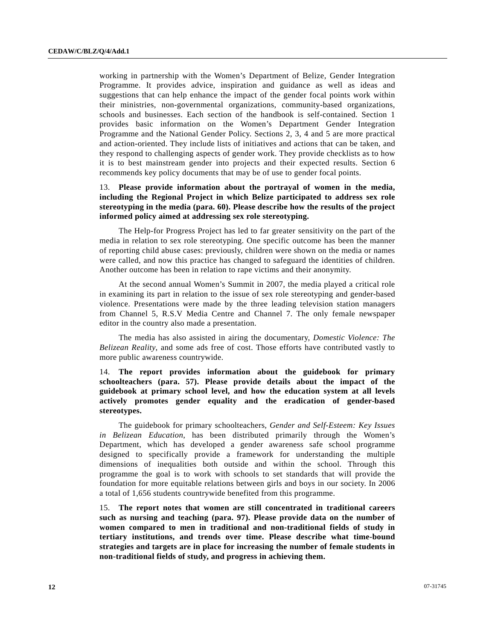working in partnership with the Women's Department of Belize, Gender Integration Programme. It provides advice, inspiration and guidance as well as ideas and suggestions that can help enhance the impact of the gender focal points work within their ministries, non-governmental organizations, community-based organizations, schools and businesses. Each section of the handbook is self-contained. Section 1 provides basic information on the Women's Department Gender Integration Programme and the National Gender Policy. Sections 2, 3, 4 and 5 are more practical and action-oriented. They include lists of initiatives and actions that can be taken, and they respond to challenging aspects of gender work. They provide checklists as to how it is to best mainstream gender into projects and their expected results. Section 6 recommends key policy documents that may be of use to gender focal points.

## 13. **Please provide information about the portrayal of women in the media, including the Regional Project in which Belize participated to address sex role stereotyping in the media (para. 60). Please describe how the results of the project informed policy aimed at addressing sex role stereotyping.**

 The Help-for Progress Project has led to far greater sensitivity on the part of the media in relation to sex role stereotyping. One specific outcome has been the manner of reporting child abuse cases: previously, children were shown on the media or names were called, and now this practice has changed to safeguard the identities of children. Another outcome has been in relation to rape victims and their anonymity.

 At the second annual Women's Summit in 2007, the media played a critical role in examining its part in relation to the issue of sex role stereotyping and gender-based violence. Presentations were made by the three leading television station managers from Channel 5, R.S.V Media Centre and Channel 7. The only female newspaper editor in the country also made a presentation.

 The media has also assisted in airing the documentary, *Domestic Violence: The Belizean Reality*, and some ads free of cost. Those efforts have contributed vastly to more public awareness countrywide.

14. **The report provides information about the guidebook for primary schoolteachers (para. 57). Please provide details about the impact of the guidebook at primary school level, and how the education system at all levels actively promotes gender equality and the eradication of gender-based stereotypes.** 

 The guidebook for primary schoolteachers*, Gender and Self-Esteem: Key Issues in Belizean Education*, has been distributed primarily through the Women's Department, which has developed a gender awareness safe school programme designed to specifically provide a framework for understanding the multiple dimensions of inequalities both outside and within the school. Through this programme the goal is to work with schools to set standards that will provide the foundation for more equitable relations between girls and boys in our society. In 2006 a total of 1,656 students countrywide benefited from this programme.

15. **The report notes that women are still concentrated in traditional careers such as nursing and teaching (para. 97). Please provide data on the number of women compared to men in traditional and non-traditional fields of study in tertiary institutions, and trends over time. Please describe what time-bound strategies and targets are in place for increasing the number of female students in non-traditional fields of study, and progress in achieving them.**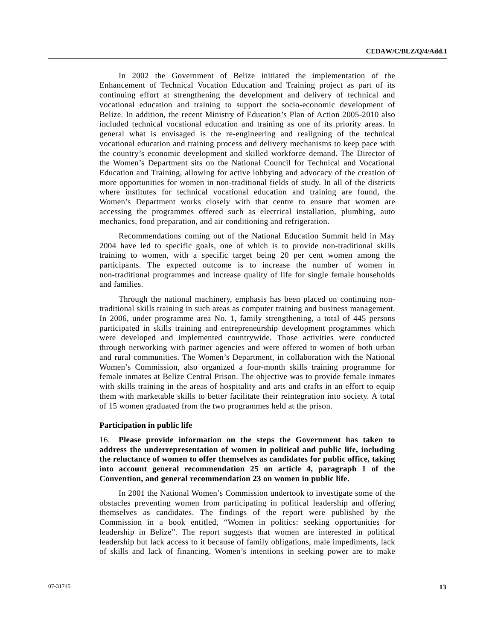In 2002 the Government of Belize initiated the implementation of the Enhancement of Technical Vocation Education and Training project as part of its continuing effort at strengthening the development and delivery of technical and vocational education and training to support the socio-economic development of Belize. In addition, the recent Ministry of Education's Plan of Action 2005-2010 also included technical vocational education and training as one of its priority areas. In general what is envisaged is the re-engineering and realigning of the technical vocational education and training process and delivery mechanisms to keep pace with the country's economic development and skilled workforce demand. The Director of the Women's Department sits on the National Council for Technical and Vocational Education and Training, allowing for active lobbying and advocacy of the creation of more opportunities for women in non-traditional fields of study. In all of the districts where institutes for technical vocational education and training are found, the Women's Department works closely with that centre to ensure that women are accessing the programmes offered such as electrical installation, plumbing, auto mechanics, food preparation, and air conditioning and refrigeration.

 Recommendations coming out of the National Education Summit held in May 2004 have led to specific goals, one of which is to provide non-traditional skills training to women, with a specific target being 20 per cent women among the participants. The expected outcome is to increase the number of women in non-traditional programmes and increase quality of life for single female households and families.

 Through the national machinery, emphasis has been placed on continuing nontraditional skills training in such areas as computer training and business management. In 2006, under programme area No. 1, family strengthening, a total of 445 persons participated in skills training and entrepreneurship development programmes which were developed and implemented countrywide. Those activities were conducted through networking with partner agencies and were offered to women of both urban and rural communities. The Women's Department, in collaboration with the National Women's Commission, also organized a four-month skills training programme for female inmates at Belize Central Prison. The objective was to provide female inmates with skills training in the areas of hospitality and arts and crafts in an effort to equip them with marketable skills to better facilitate their reintegration into society. A total of 15 women graduated from the two programmes held at the prison.

#### **Participation in public life**

16. **Please provide information on the steps the Government has taken to address the underrepresentation of women in political and public life, including the reluctance of women to offer themselves as candidates for public office, taking into account general recommendation 25 on article 4, paragraph 1 of the Convention, and general recommendation 23 on women in public life.** 

 In 2001 the National Women's Commission undertook to investigate some of the obstacles preventing women from participating in political leadership and offering themselves as candidates. The findings of the report were published by the Commission in a book entitled, "Women in politics: seeking opportunities for leadership in Belize". The report suggests that women are interested in political leadership but lack access to it because of family obligations, male impediments, lack of skills and lack of financing. Women's intentions in seeking power are to make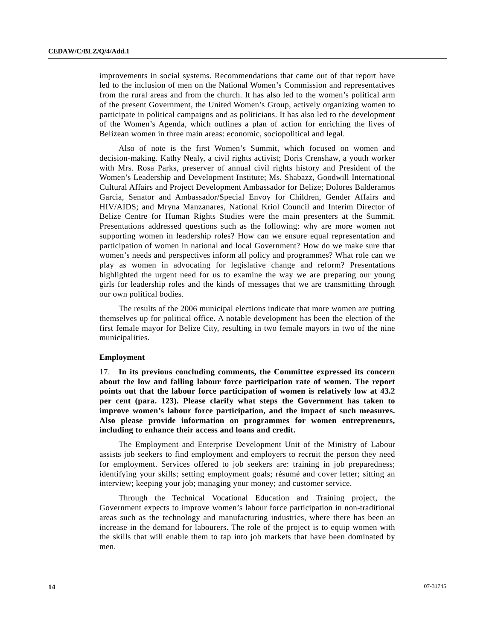improvements in social systems. Recommendations that came out of that report have led to the inclusion of men on the National Women's Commission and representatives from the rural areas and from the church. It has also led to the women's political arm of the present Government, the United Women's Group, actively organizing women to participate in political campaigns and as politicians. It has also led to the development of the Women's Agenda, which outlines a plan of action for enriching the lives of Belizean women in three main areas: economic, sociopolitical and legal.

 Also of note is the first Women's Summit, which focused on women and decision-making. Kathy Nealy, a civil rights activist; Doris Crenshaw, a youth worker with Mrs. Rosa Parks, preserver of annual civil rights history and President of the Women's Leadership and Development Institute; Ms. Shabazz, Goodwill International Cultural Affairs and Project Development Ambassador for Belize; Dolores Balderamos Garcia, Senator and Ambassador/Special Envoy for Children, Gender Affairs and HIV/AIDS; and Mryna Manzanares, National Kriol Council and Interim Director of Belize Centre for Human Rights Studies were the main presenters at the Summit. Presentations addressed questions such as the following: why are more women not supporting women in leadership roles? How can we ensure equal representation and participation of women in national and local Government? How do we make sure that women's needs and perspectives inform all policy and programmes? What role can we play as women in advocating for legislative change and reform? Presentations highlighted the urgent need for us to examine the way we are preparing our young girls for leadership roles and the kinds of messages that we are transmitting through our own political bodies.

 The results of the 2006 municipal elections indicate that more women are putting themselves up for political office. A notable development has been the election of the first female mayor for Belize City, resulting in two female mayors in two of the nine municipalities.

#### **Employment**

17. **In its previous concluding comments, the Committee expressed its concern about the low and falling labour force participation rate of women. The report points out that the labour force participation of women is relatively low at 43.2 per cent (para. 123). Please clarify what steps the Government has taken to improve women's labour force participation, and the impact of such measures. Also please provide information on programmes for women entrepreneurs, including to enhance their access and loans and credit.** 

 The Employment and Enterprise Development Unit of the Ministry of Labour assists job seekers to find employment and employers to recruit the person they need for employment. Services offered to job seekers are: training in job preparedness; identifying your skills; setting employment goals; résumé and cover letter; sitting an interview; keeping your job; managing your money; and customer service.

 Through the Technical Vocational Education and Training project, the Government expects to improve women's labour force participation in non-traditional areas such as the technology and manufacturing industries, where there has been an increase in the demand for labourers. The role of the project is to equip women with the skills that will enable them to tap into job markets that have been dominated by men.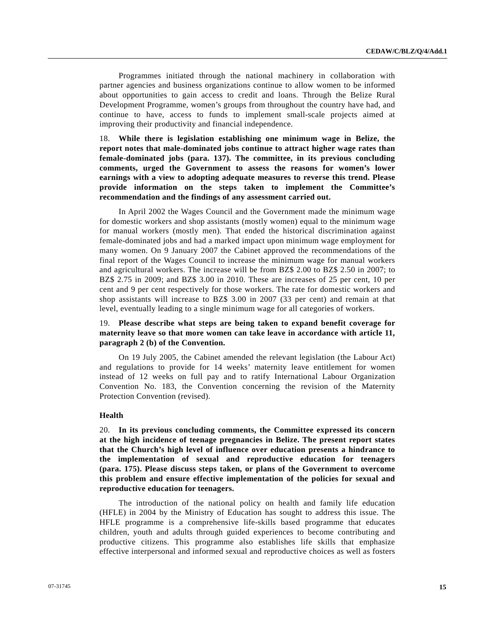Programmes initiated through the national machinery in collaboration with partner agencies and business organizations continue to allow women to be informed about opportunities to gain access to credit and loans. Through the Belize Rural Development Programme, women's groups from throughout the country have had, and continue to have, access to funds to implement small-scale projects aimed at improving their productivity and financial independence.

18. **While there is legislation establishing one minimum wage in Belize, the report notes that male-dominated jobs continue to attract higher wage rates than female-dominated jobs (para. 137). The committee, in its previous concluding comments, urged the Government to assess the reasons for women's lower earnings with a view to adopting adequate measures to reverse this trend. Please provide information on the steps taken to implement the Committee's recommendation and the findings of any assessment carried out.** 

 In April 2002 the Wages Council and the Government made the minimum wage for domestic workers and shop assistants (mostly women) equal to the minimum wage for manual workers (mostly men). That ended the historical discrimination against female-dominated jobs and had a marked impact upon minimum wage employment for many women. On 9 January 2007 the Cabinet approved the recommendations of the final report of the Wages Council to increase the minimum wage for manual workers and agricultural workers. The increase will be from BZ\$ 2.00 to BZ\$ 2.50 in 2007; to BZ\$ 2.75 in 2009; and BZ\$ 3.00 in 2010. These are increases of 25 per cent, 10 per cent and 9 per cent respectively for those workers. The rate for domestic workers and shop assistants will increase to BZ\$ 3.00 in 2007 (33 per cent) and remain at that level, eventually leading to a single minimum wage for all categories of workers.

## 19. **Please describe what steps are being taken to expand benefit coverage for maternity leave so that more women can take leave in accordance with article 11, paragraph 2 (b) of the Convention.**

 On 19 July 2005, the Cabinet amended the relevant legislation (the Labour Act) and regulations to provide for 14 weeks' maternity leave entitlement for women instead of 12 weeks on full pay and to ratify International Labour Organization Convention No. 183, the Convention concerning the revision of the Maternity Protection Convention (revised).

#### **Health**

20. **In its previous concluding comments, the Committee expressed its concern at the high incidence of teenage pregnancies in Belize. The present report states that the Church's high level of influence over education presents a hindrance to the implementation of sexual and reproductive education for teenagers (para. 175). Please discuss steps taken, or plans of the Government to overcome this problem and ensure effective implementation of the policies for sexual and reproductive education for teenagers.** 

 The introduction of the national policy on health and family life education (HFLE) in 2004 by the Ministry of Education has sought to address this issue. The HFLE programme is a comprehensive life-skills based programme that educates children, youth and adults through guided experiences to become contributing and productive citizens. This programme also establishes life skills that emphasize effective interpersonal and informed sexual and reproductive choices as well as fosters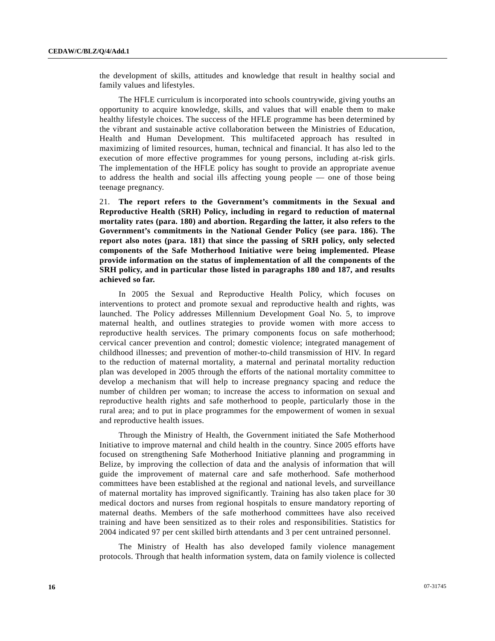the development of skills, attitudes and knowledge that result in healthy social and family values and lifestyles.

 The HFLE curriculum is incorporated into schools countrywide, giving youths an opportunity to acquire knowledge, skills, and values that will enable them to make healthy lifestyle choices. The success of the HFLE programme has been determined by the vibrant and sustainable active collaboration between the Ministries of Education, Health and Human Development. This multifaceted approach has resulted in maximizing of limited resources, human, technical and financial. It has also led to the execution of more effective programmes for young persons, including at-risk girls. The implementation of the HFLE policy has sought to provide an appropriate avenue to address the health and social ills affecting young people — one of those being teenage pregnancy.

21. **The report refers to the Government's commitments in the Sexual and Reproductive Health (SRH) Policy, including in regard to reduction of maternal mortality rates (para. 180) and abortion. Regarding the latter, it also refers to the Government's commitments in the National Gender Policy (see para. 186). The report also notes (para. 181) that since the passing of SRH policy, only selected components of the Safe Motherhood Initiative were being implemented. Please provide information on the status of implementation of all the components of the SRH policy, and in particular those listed in paragraphs 180 and 187, and results achieved so far.** 

 In 2005 the Sexual and Reproductive Health Policy, which focuses on interventions to protect and promote sexual and reproductive health and rights, was launched. The Policy addresses Millennium Development Goal No. 5, to improve maternal health, and outlines strategies to provide women with more access to reproductive health services. The primary components focus on safe motherhood; cervical cancer prevention and control; domestic violence; integrated management of childhood illnesses; and prevention of mother-to-child transmission of HIV. In regard to the reduction of maternal mortality, a maternal and perinatal mortality reduction plan was developed in 2005 through the efforts of the national mortality committee to develop a mechanism that will help to increase pregnancy spacing and reduce the number of children per woman; to increase the access to information on sexual and reproductive health rights and safe motherhood to people, particularly those in the rural area; and to put in place programmes for the empowerment of women in sexual and reproductive health issues.

 Through the Ministry of Health, the Government initiated the Safe Motherhood Initiative to improve maternal and child health in the country. Since 2005 efforts have focused on strengthening Safe Motherhood Initiative planning and programming in Belize, by improving the collection of data and the analysis of information that will guide the improvement of maternal care and safe motherhood. Safe motherhood committees have been established at the regional and national levels, and surveillance of maternal mortality has improved significantly. Training has also taken place for 30 medical doctors and nurses from regional hospitals to ensure mandatory reporting of maternal deaths. Members of the safe motherhood committees have also received training and have been sensitized as to their roles and responsibilities. Statistics for 2004 indicated 97 per cent skilled birth attendants and 3 per cent untrained personnel.

 The Ministry of Health has also developed family violence management protocols. Through that health information system, data on family violence is collected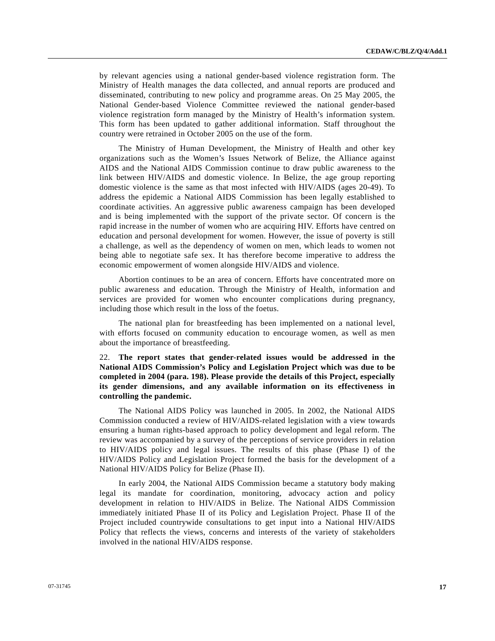by relevant agencies using a national gender-based violence registration form. The Ministry of Health manages the data collected, and annual reports are produced and disseminated, contributing to new policy and programme areas. On 25 May 2005, the National Gender-based Violence Committee reviewed the national gender-based violence registration form managed by the Ministry of Health's information system. This form has been updated to gather additional information. Staff throughout the country were retrained in October 2005 on the use of the form.

 The Ministry of Human Development, the Ministry of Health and other key organizations such as the Women's Issues Network of Belize, the Alliance against AIDS and the National AIDS Commission continue to draw public awareness to the link between HIV/AIDS and domestic violence. In Belize, the age group reporting domestic violence is the same as that most infected with HIV/AIDS (ages 20-49). To address the epidemic a National AIDS Commission has been legally established to coordinate activities. An aggressive public awareness campaign has been developed and is being implemented with the support of the private sector. Of concern is the rapid increase in the number of women who are acquiring HIV. Efforts have centred on education and personal development for women. However, the issue of poverty is still a challenge, as well as the dependency of women on men, which leads to women not being able to negotiate safe sex. It has therefore become imperative to address the economic empowerment of women alongside HIV/AIDS and violence.

 Abortion continues to be an area of concern. Efforts have concentrated more on public awareness and education. Through the Ministry of Health, information and services are provided for women who encounter complications during pregnancy, including those which result in the loss of the foetus.

 The national plan for breastfeeding has been implemented on a national level, with efforts focused on community education to encourage women, as well as men about the importance of breastfeeding.

22. **The report states that gender-related issues would be addressed in the National AIDS Commission's Policy and Legislation Project which was due to be completed in 2004 (para. 198). Please provide the details of this Project, especially its gender dimensions, and any available information on its effectiveness in controlling the pandemic.** 

 The National AIDS Policy was launched in 2005. In 2002, the National AIDS Commission conducted a review of HIV/AIDS-related legislation with a view towards ensuring a human rights-based approach to policy development and legal reform. The review was accompanied by a survey of the perceptions of service providers in relation to HIV/AIDS policy and legal issues. The results of this phase (Phase I) of the HIV/AIDS Policy and Legislation Project formed the basis for the development of a National HIV/AIDS Policy for Belize (Phase II).

 In early 2004, the National AIDS Commission became a statutory body making legal its mandate for coordination, monitoring, advocacy action and policy development in relation to HIV/AIDS in Belize. The National AIDS Commission immediately initiated Phase II of its Policy and Legislation Project. Phase II of the Project included countrywide consultations to get input into a National HIV/AIDS Policy that reflects the views, concerns and interests of the variety of stakeholders involved in the national HIV/AIDS response.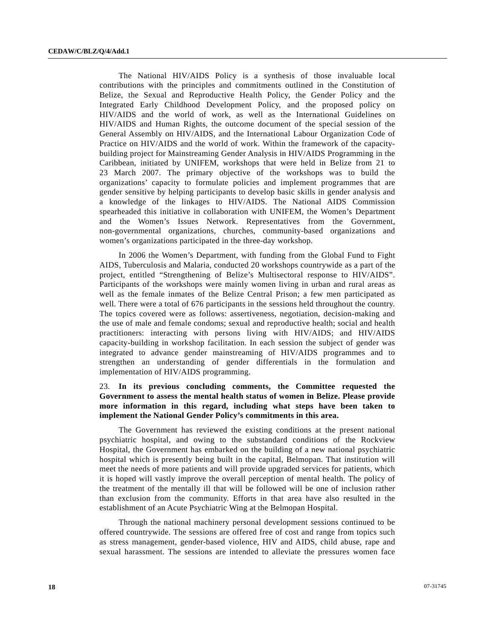The National HIV/AIDS Policy is a synthesis of those invaluable local contributions with the principles and commitments outlined in the Constitution of Belize, the Sexual and Reproductive Health Policy, the Gender Policy and the Integrated Early Childhood Development Policy, and the proposed policy on HIV/AIDS and the world of work, as well as the International Guidelines on HIV/AIDS and Human Rights, the outcome document of the special session of the General Assembly on HIV/AIDS, and the International Labour Organization Code of Practice on HIV/AIDS and the world of work. Within the framework of the capacitybuilding project for Mainstreaming Gender Analysis in HIV/AIDS Programming in the Caribbean, initiated by UNIFEM, workshops that were held in Belize from 21 to 23 March 2007. The primary objective of the workshops was to build the organizations' capacity to formulate policies and implement programmes that are gender sensitive by helping participants to develop basic skills in gender analysis and a knowledge of the linkages to HIV/AIDS. The National AIDS Commission spearheaded this initiative in collaboration with UNIFEM, the Women's Department and the Women's Issues Network. Representatives from the Government, non-governmental organizations, churches, community-based organizations and women's organizations participated in the three-day workshop.

 In 2006 the Women's Department, with funding from the Global Fund to Fight AIDS, Tuberculosis and Malaria, conducted 20 workshops countrywide as a part of the project, entitled "Strengthening of Belize's Multisectoral response to HIV/AIDS". Participants of the workshops were mainly women living in urban and rural areas as well as the female inmates of the Belize Central Prison; a few men participated as well. There were a total of 676 participants in the sessions held throughout the country. The topics covered were as follows: assertiveness, negotiation, decision-making and the use of male and female condoms; sexual and reproductive health; social and health practitioners: interacting with persons living with HIV/AIDS; and HIV/AIDS capacity-building in workshop facilitation. In each session the subject of gender was integrated to advance gender mainstreaming of HIV/AIDS programmes and to strengthen an understanding of gender differentials in the formulation and implementation of HIV/AIDS programming.

## 23. **In its previous concluding comments, the Committee requested the Government to assess the mental health status of women in Belize. Please provide more information in this regard, including what steps have been taken to implement the National Gender Policy's commitments in this area.**

 The Government has reviewed the existing conditions at the present national psychiatric hospital, and owing to the substandard conditions of the Rockview Hospital, the Government has embarked on the building of a new national psychiatric hospital which is presently being built in the capital, Belmopan. That institution will meet the needs of more patients and will provide upgraded services for patients, which it is hoped will vastly improve the overall perception of mental health. The policy of the treatment of the mentally ill that will be followed will be one of inclusion rather than exclusion from the community. Efforts in that area have also resulted in the establishment of an Acute Psychiatric Wing at the Belmopan Hospital.

 Through the national machinery personal development sessions continued to be offered countrywide. The sessions are offered free of cost and range from topics such as stress management, gender-based violence, HIV and AIDS, child abuse, rape and sexual harassment. The sessions are intended to alleviate the pressures women face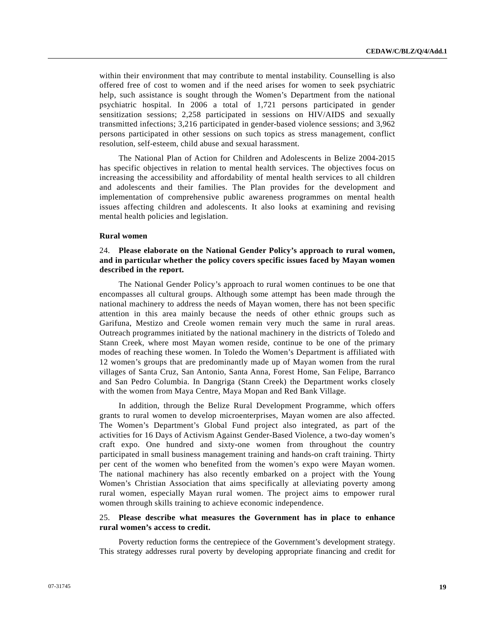within their environment that may contribute to mental instability. Counselling is also offered free of cost to women and if the need arises for women to seek psychiatric help, such assistance is sought through the Women's Department from the national psychiatric hospital. In 2006 a total of 1,721 persons participated in gender sensitization sessions; 2,258 participated in sessions on HIV/AIDS and sexually transmitted infections; 3,216 participated in gender-based violence sessions; and 3,962 persons participated in other sessions on such topics as stress management, conflict resolution, self-esteem, child abuse and sexual harassment.

 The National Plan of Action for Children and Adolescents in Belize 2004-2015 has specific objectives in relation to mental health services. The objectives focus on increasing the accessibility and affordability of mental health services to all children and adolescents and their families. The Plan provides for the development and implementation of comprehensive public awareness programmes on mental health issues affecting children and adolescents. It also looks at examining and revising mental health policies and legislation.

#### **Rural women**

## 24. **Please elaborate on the National Gender Policy's approach to rural women, and in particular whether the policy covers specific issues faced by Mayan women described in the report.**

 The National Gender Policy's approach to rural women continues to be one that encompasses all cultural groups. Although some attempt has been made through the national machinery to address the needs of Mayan women, there has not been specific attention in this area mainly because the needs of other ethnic groups such as Garifuna, Mestizo and Creole women remain very much the same in rural areas. Outreach programmes initiated by the national machinery in the districts of Toledo and Stann Creek, where most Mayan women reside, continue to be one of the primary modes of reaching these women. In Toledo the Women's Department is affiliated with 12 women's groups that are predominantly made up of Mayan women from the rural villages of Santa Cruz, San Antonio, Santa Anna, Forest Home, San Felipe, Barranco and San Pedro Columbia. In Dangriga (Stann Creek) the Department works closely with the women from Maya Centre, Maya Mopan and Red Bank Village.

 In addition, through the Belize Rural Development Programme, which offers grants to rural women to develop microenterprises, Mayan women are also affected. The Women's Department's Global Fund project also integrated, as part of the activities for 16 Days of Activism Against Gender-Based Violence, a two-day women's craft expo. One hundred and sixty-one women from throughout the country participated in small business management training and hands-on craft training. Thirty per cent of the women who benefited from the women's expo were Mayan women. The national machinery has also recently embarked on a project with the Young Women's Christian Association that aims specifically at alleviating poverty among rural women, especially Mayan rural women. The project aims to empower rural women through skills training to achieve economic independence.

## 25. **Please describe what measures the Government has in place to enhance rural women's access to credit.**

 Poverty reduction forms the centrepiece of the Government's development strategy. This strategy addresses rural poverty by developing appropriate financing and credit for